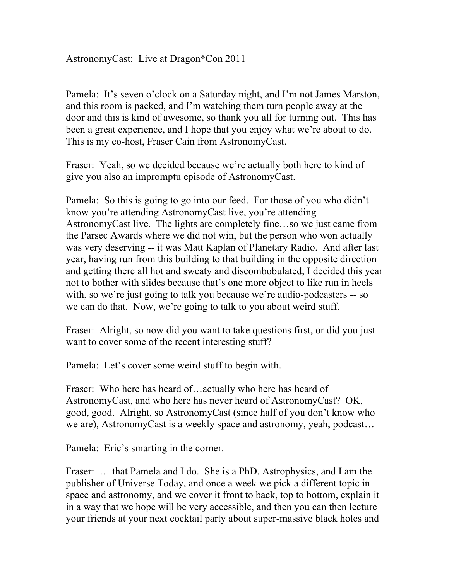AstronomyCast: Live at Dragon\*Con 2011

Pamela: It's seven o'clock on a Saturday night, and I'm not James Marston, and this room is packed, and I'm watching them turn people away at the door and this is kind of awesome, so thank you all for turning out. This has been a great experience, and I hope that you enjoy what we're about to do. This is my co-host, Fraser Cain from AstronomyCast.

Fraser: Yeah, so we decided because we're actually both here to kind of give you also an impromptu episode of AstronomyCast.

Pamela: So this is going to go into our feed. For those of you who didn't know you're attending AstronomyCast live, you're attending AstronomyCast live. The lights are completely fine…so we just came from the Parsec Awards where we did not win, but the person who won actually was very deserving -- it was Matt Kaplan of Planetary Radio. And after last year, having run from this building to that building in the opposite direction and getting there all hot and sweaty and discombobulated, I decided this year not to bother with slides because that's one more object to like run in heels with, so we're just going to talk you because we're audio-podcasters -- so we can do that. Now, we're going to talk to you about weird stuff.

Fraser: Alright, so now did you want to take questions first, or did you just want to cover some of the recent interesting stuff?

Pamela: Let's cover some weird stuff to begin with.

Fraser: Who here has heard of...actually who here has heard of AstronomyCast, and who here has never heard of AstronomyCast? OK, good, good. Alright, so AstronomyCast (since half of you don't know who we are), AstronomyCast is a weekly space and astronomy, yeah, podcast…

Pamela: Eric's smarting in the corner.

Fraser: … that Pamela and I do. She is a PhD. Astrophysics, and I am the publisher of Universe Today, and once a week we pick a different topic in space and astronomy, and we cover it front to back, top to bottom, explain it in a way that we hope will be very accessible, and then you can then lecture your friends at your next cocktail party about super-massive black holes and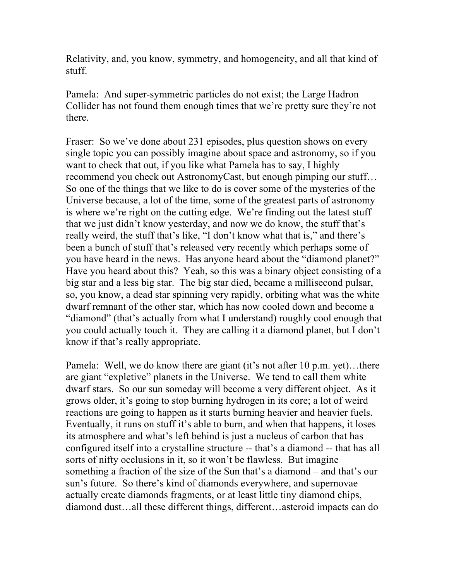Relativity, and, you know, symmetry, and homogeneity, and all that kind of stuff.

Pamela: And super-symmetric particles do not exist; the Large Hadron Collider has not found them enough times that we're pretty sure they're not there.

Fraser: So we've done about 231 episodes, plus question shows on every single topic you can possibly imagine about space and astronomy, so if you want to check that out, if you like what Pamela has to say, I highly recommend you check out AstronomyCast, but enough pimping our stuff… So one of the things that we like to do is cover some of the mysteries of the Universe because, a lot of the time, some of the greatest parts of astronomy is where we're right on the cutting edge. We're finding out the latest stuff that we just didn't know yesterday, and now we do know, the stuff that's really weird, the stuff that's like, "I don't know what that is," and there's been a bunch of stuff that's released very recently which perhaps some of you have heard in the news. Has anyone heard about the "diamond planet?" Have you heard about this? Yeah, so this was a binary object consisting of a big star and a less big star. The big star died, became a millisecond pulsar, so, you know, a dead star spinning very rapidly, orbiting what was the white dwarf remnant of the other star, which has now cooled down and become a "diamond" (that's actually from what I understand) roughly cool enough that you could actually touch it. They are calling it a diamond planet, but I don't know if that's really appropriate.

Pamela: Well, we do know there are giant (it's not after 10 p.m. yet)…there are giant "expletive" planets in the Universe. We tend to call them white dwarf stars. So our sun someday will become a very different object. As it grows older, it's going to stop burning hydrogen in its core; a lot of weird reactions are going to happen as it starts burning heavier and heavier fuels. Eventually, it runs on stuff it's able to burn, and when that happens, it loses its atmosphere and what's left behind is just a nucleus of carbon that has configured itself into a crystalline structure -- that's a diamond -- that has all sorts of nifty occlusions in it, so it won't be flawless. But imagine something a fraction of the size of the Sun that's a diamond – and that's our sun's future. So there's kind of diamonds everywhere, and supernovae actually create diamonds fragments, or at least little tiny diamond chips, diamond dust…all these different things, different…asteroid impacts can do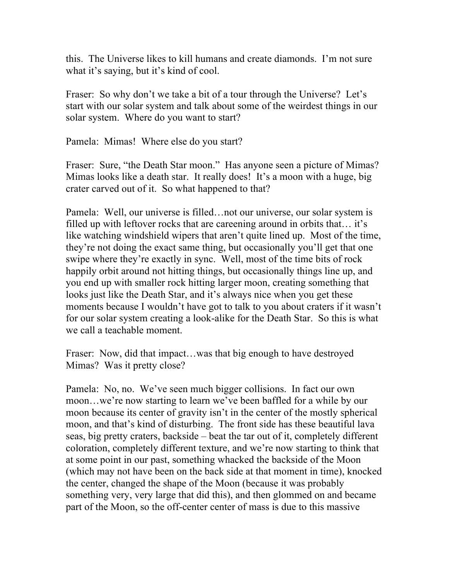this. The Universe likes to kill humans and create diamonds. I'm not sure what it's saying, but it's kind of cool.

Fraser: So why don't we take a bit of a tour through the Universe? Let's start with our solar system and talk about some of the weirdest things in our solar system. Where do you want to start?

Pamela: Mimas! Where else do you start?

Fraser: Sure, "the Death Star moon." Has anyone seen a picture of Mimas? Mimas looks like a death star. It really does! It's a moon with a huge, big crater carved out of it. So what happened to that?

Pamela: Well, our universe is filled…not our universe, our solar system is filled up with leftover rocks that are careening around in orbits that… it's like watching windshield wipers that aren't quite lined up. Most of the time, they're not doing the exact same thing, but occasionally you'll get that one swipe where they're exactly in sync. Well, most of the time bits of rock happily orbit around not hitting things, but occasionally things line up, and you end up with smaller rock hitting larger moon, creating something that looks just like the Death Star, and it's always nice when you get these moments because I wouldn't have got to talk to you about craters if it wasn't for our solar system creating a look-alike for the Death Star. So this is what we call a teachable moment.

Fraser: Now, did that impact…was that big enough to have destroyed Mimas? Was it pretty close?

Pamela: No, no. We've seen much bigger collisions. In fact our own moon…we're now starting to learn we've been baffled for a while by our moon because its center of gravity isn't in the center of the mostly spherical moon, and that's kind of disturbing. The front side has these beautiful lava seas, big pretty craters, backside – beat the tar out of it, completely different coloration, completely different texture, and we're now starting to think that at some point in our past, something whacked the backside of the Moon (which may not have been on the back side at that moment in time), knocked the center, changed the shape of the Moon (because it was probably something very, very large that did this), and then glommed on and became part of the Moon, so the off-center center of mass is due to this massive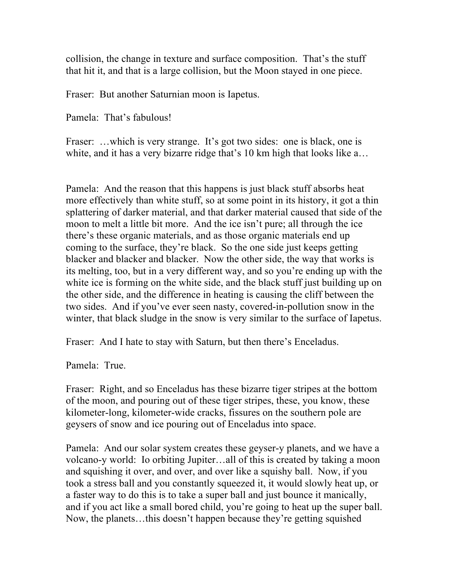collision, the change in texture and surface composition. That's the stuff that hit it, and that is a large collision, but the Moon stayed in one piece.

Fraser: But another Saturnian moon is Iapetus.

Pamela: That's fabulous!

Fraser: ...which is very strange. It's got two sides: one is black, one is white, and it has a very bizarre ridge that's 10 km high that looks like a...

Pamela: And the reason that this happens is just black stuff absorbs heat more effectively than white stuff, so at some point in its history, it got a thin splattering of darker material, and that darker material caused that side of the moon to melt a little bit more. And the ice isn't pure; all through the ice there's these organic materials, and as those organic materials end up coming to the surface, they're black. So the one side just keeps getting blacker and blacker and blacker. Now the other side, the way that works is its melting, too, but in a very different way, and so you're ending up with the white ice is forming on the white side, and the black stuff just building up on the other side, and the difference in heating is causing the cliff between the two sides. And if you've ever seen nasty, covered-in-pollution snow in the winter, that black sludge in the snow is very similar to the surface of Iapetus.

Fraser: And I hate to stay with Saturn, but then there's Enceladus.

Pamela: True.

Fraser: Right, and so Enceladus has these bizarre tiger stripes at the bottom of the moon, and pouring out of these tiger stripes, these, you know, these kilometer-long, kilometer-wide cracks, fissures on the southern pole are geysers of snow and ice pouring out of Enceladus into space.

Pamela: And our solar system creates these geyser-y planets, and we have a volcano-y world: Io orbiting Jupiter…all of this is created by taking a moon and squishing it over, and over, and over like a squishy ball. Now, if you took a stress ball and you constantly squeezed it, it would slowly heat up, or a faster way to do this is to take a super ball and just bounce it manically, and if you act like a small bored child, you're going to heat up the super ball. Now, the planets…this doesn't happen because they're getting squished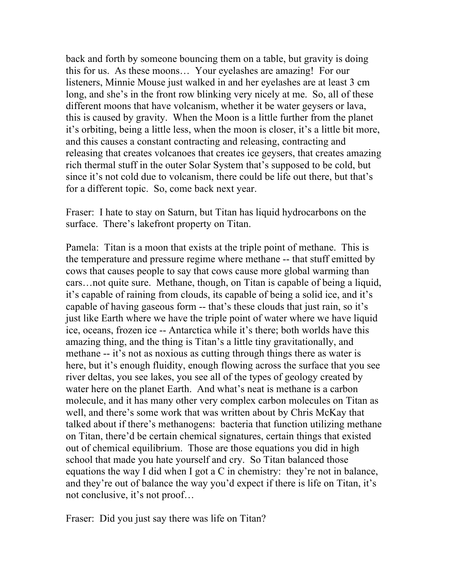back and forth by someone bouncing them on a table, but gravity is doing this for us. As these moons… Your eyelashes are amazing! For our listeners, Minnie Mouse just walked in and her eyelashes are at least 3 cm long, and she's in the front row blinking very nicely at me. So, all of these different moons that have volcanism, whether it be water geysers or lava, this is caused by gravity. When the Moon is a little further from the planet it's orbiting, being a little less, when the moon is closer, it's a little bit more, and this causes a constant contracting and releasing, contracting and releasing that creates volcanoes that creates ice geysers, that creates amazing rich thermal stuff in the outer Solar System that's supposed to be cold, but since it's not cold due to volcanism, there could be life out there, but that's for a different topic. So, come back next year.

Fraser: I hate to stay on Saturn, but Titan has liquid hydrocarbons on the surface. There's lakefront property on Titan.

Pamela: Titan is a moon that exists at the triple point of methane. This is the temperature and pressure regime where methane -- that stuff emitted by cows that causes people to say that cows cause more global warming than cars…not quite sure. Methane, though, on Titan is capable of being a liquid, it's capable of raining from clouds, its capable of being a solid ice, and it's capable of having gaseous form -- that's these clouds that just rain, so it's just like Earth where we have the triple point of water where we have liquid ice, oceans, frozen ice -- Antarctica while it's there; both worlds have this amazing thing, and the thing is Titan's a little tiny gravitationally, and methane -- it's not as noxious as cutting through things there as water is here, but it's enough fluidity, enough flowing across the surface that you see river deltas, you see lakes, you see all of the types of geology created by water here on the planet Earth. And what's neat is methane is a carbon molecule, and it has many other very complex carbon molecules on Titan as well, and there's some work that was written about by Chris McKay that talked about if there's methanogens: bacteria that function utilizing methane on Titan, there'd be certain chemical signatures, certain things that existed out of chemical equilibrium. Those are those equations you did in high school that made you hate yourself and cry. So Titan balanced those equations the way I did when I got a C in chemistry: they're not in balance, and they're out of balance the way you'd expect if there is life on Titan, it's not conclusive, it's not proof…

Fraser: Did you just say there was life on Titan?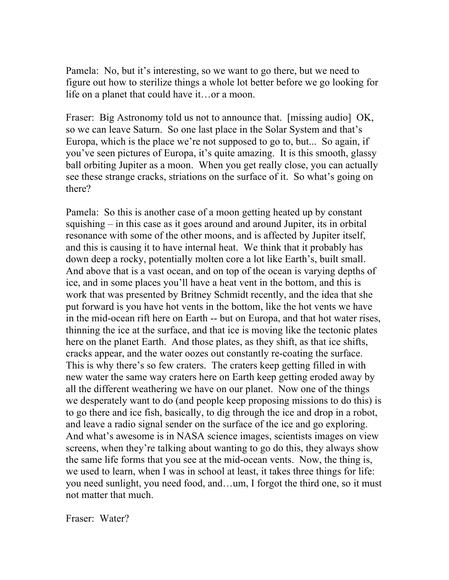Pamela: No, but it's interesting, so we want to go there, but we need to figure out how to sterilize things a whole lot better before we go looking for life on a planet that could have it…or a moon.

Fraser: Big Astronomy told us not to announce that. [missing audio] OK, so we can leave Saturn. So one last place in the Solar System and that's Europa, which is the place we're not supposed to go to, but... So again, if you've seen pictures of Europa, it's quite amazing. It is this smooth, glassy ball orbiting Jupiter as a moon. When you get really close, you can actually see these strange cracks, striations on the surface of it. So what's going on there?

Pamela: So this is another case of a moon getting heated up by constant squishing – in this case as it goes around and around Jupiter, its in orbital resonance with some of the other moons, and is affected by Jupiter itself, and this is causing it to have internal heat. We think that it probably has down deep a rocky, potentially molten core a lot like Earth's, built small. And above that is a vast ocean, and on top of the ocean is varying depths of ice, and in some places you'll have a heat vent in the bottom, and this is work that was presented by Britney Schmidt recently, and the idea that she put forward is you have hot vents in the bottom, like the hot vents we have in the mid-ocean rift here on Earth -- but on Europa, and that hot water rises, thinning the ice at the surface, and that ice is moving like the tectonic plates here on the planet Earth. And those plates, as they shift, as that ice shifts, cracks appear, and the water oozes out constantly re-coating the surface. This is why there's so few craters. The craters keep getting filled in with new water the same way craters here on Earth keep getting eroded away by all the different weathering we have on our planet. Now one of the things we desperately want to do (and people keep proposing missions to do this) is to go there and ice fish, basically, to dig through the ice and drop in a robot, and leave a radio signal sender on the surface of the ice and go exploring. And what's awesome is in NASA science images, scientists images on view screens, when they're talking about wanting to go do this, they always show the same life forms that you see at the mid-ocean vents. Now, the thing is, we used to learn, when I was in school at least, it takes three things for life: you need sunlight, you need food, and…um, I forgot the third one, so it must not matter that much.

Fraser: Water?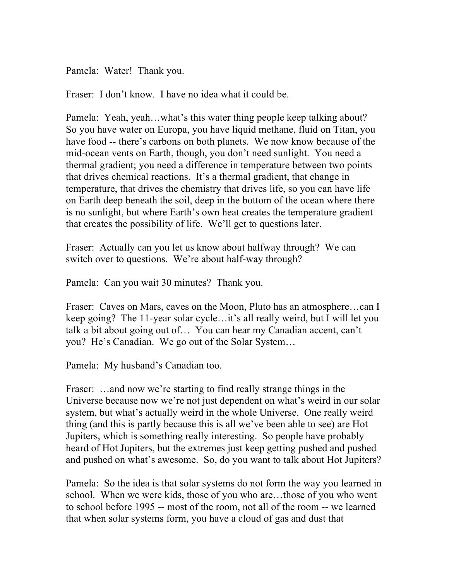Pamela: Water! Thank you.

Fraser: I don't know. I have no idea what it could be.

Pamela: Yeah, yeah…what's this water thing people keep talking about? So you have water on Europa, you have liquid methane, fluid on Titan, you have food -- there's carbons on both planets. We now know because of the mid-ocean vents on Earth, though, you don't need sunlight. You need a thermal gradient; you need a difference in temperature between two points that drives chemical reactions. It's a thermal gradient, that change in temperature, that drives the chemistry that drives life, so you can have life on Earth deep beneath the soil, deep in the bottom of the ocean where there is no sunlight, but where Earth's own heat creates the temperature gradient that creates the possibility of life. We'll get to questions later.

Fraser: Actually can you let us know about halfway through? We can switch over to questions. We're about half-way through?

Pamela: Can you wait 30 minutes? Thank you.

Fraser: Caves on Mars, caves on the Moon, Pluto has an atmosphere…can I keep going? The 11-year solar cycle…it's all really weird, but I will let you talk a bit about going out of… You can hear my Canadian accent, can't you? He's Canadian. We go out of the Solar System…

Pamela: My husband's Canadian too.

Fraser: ...and now we're starting to find really strange things in the Universe because now we're not just dependent on what's weird in our solar system, but what's actually weird in the whole Universe. One really weird thing (and this is partly because this is all we've been able to see) are Hot Jupiters, which is something really interesting. So people have probably heard of Hot Jupiters, but the extremes just keep getting pushed and pushed and pushed on what's awesome. So, do you want to talk about Hot Jupiters?

Pamela: So the idea is that solar systems do not form the way you learned in school. When we were kids, those of you who are…those of you who went to school before 1995 -- most of the room, not all of the room -- we learned that when solar systems form, you have a cloud of gas and dust that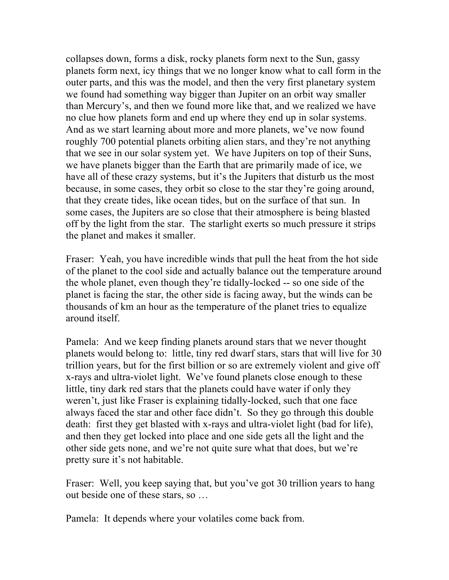collapses down, forms a disk, rocky planets form next to the Sun, gassy planets form next, icy things that we no longer know what to call form in the outer parts, and this was the model, and then the very first planetary system we found had something way bigger than Jupiter on an orbit way smaller than Mercury's, and then we found more like that, and we realized we have no clue how planets form and end up where they end up in solar systems. And as we start learning about more and more planets, we've now found roughly 700 potential planets orbiting alien stars, and they're not anything that we see in our solar system yet. We have Jupiters on top of their Suns, we have planets bigger than the Earth that are primarily made of ice, we have all of these crazy systems, but it's the Jupiters that disturb us the most because, in some cases, they orbit so close to the star they're going around, that they create tides, like ocean tides, but on the surface of that sun. In some cases, the Jupiters are so close that their atmosphere is being blasted off by the light from the star. The starlight exerts so much pressure it strips the planet and makes it smaller.

Fraser: Yeah, you have incredible winds that pull the heat from the hot side of the planet to the cool side and actually balance out the temperature around the whole planet, even though they're tidally-locked -- so one side of the planet is facing the star, the other side is facing away, but the winds can be thousands of km an hour as the temperature of the planet tries to equalize around itself.

Pamela: And we keep finding planets around stars that we never thought planets would belong to: little, tiny red dwarf stars, stars that will live for 30 trillion years, but for the first billion or so are extremely violent and give off x-rays and ultra-violet light. We've found planets close enough to these little, tiny dark red stars that the planets could have water if only they weren't, just like Fraser is explaining tidally-locked, such that one face always faced the star and other face didn't. So they go through this double death: first they get blasted with x-rays and ultra-violet light (bad for life), and then they get locked into place and one side gets all the light and the other side gets none, and we're not quite sure what that does, but we're pretty sure it's not habitable.

Fraser: Well, you keep saying that, but you've got 30 trillion years to hang out beside one of these stars, so …

Pamela: It depends where your volatiles come back from.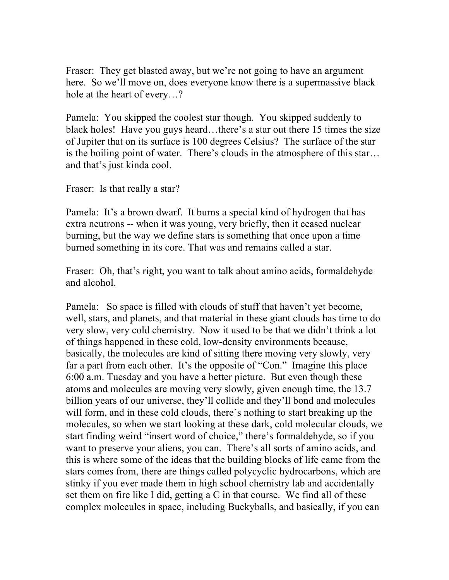Fraser: They get blasted away, but we're not going to have an argument here. So we'll move on, does everyone know there is a supermassive black hole at the heart of every…?

Pamela: You skipped the coolest star though. You skipped suddenly to black holes! Have you guys heard…there's a star out there 15 times the size of Jupiter that on its surface is 100 degrees Celsius? The surface of the star is the boiling point of water. There's clouds in the atmosphere of this star… and that's just kinda cool.

Fraser: Is that really a star?

Pamela: It's a brown dwarf. It burns a special kind of hydrogen that has extra neutrons -- when it was young, very briefly, then it ceased nuclear burning, but the way we define stars is something that once upon a time burned something in its core. That was and remains called a star.

Fraser: Oh, that's right, you want to talk about amino acids, formaldehyde and alcohol.

Pamela: So space is filled with clouds of stuff that haven't yet become, well, stars, and planets, and that material in these giant clouds has time to do very slow, very cold chemistry. Now it used to be that we didn't think a lot of things happened in these cold, low-density environments because, basically, the molecules are kind of sitting there moving very slowly, very far a part from each other. It's the opposite of "Con." Imagine this place 6:00 a.m. Tuesday and you have a better picture. But even though these atoms and molecules are moving very slowly, given enough time, the 13.7 billion years of our universe, they'll collide and they'll bond and molecules will form, and in these cold clouds, there's nothing to start breaking up the molecules, so when we start looking at these dark, cold molecular clouds, we start finding weird "insert word of choice," there's formaldehyde, so if you want to preserve your aliens, you can. There's all sorts of amino acids, and this is where some of the ideas that the building blocks of life came from the stars comes from, there are things called polycyclic hydrocarbons, which are stinky if you ever made them in high school chemistry lab and accidentally set them on fire like I did, getting a C in that course. We find all of these complex molecules in space, including Buckyballs, and basically, if you can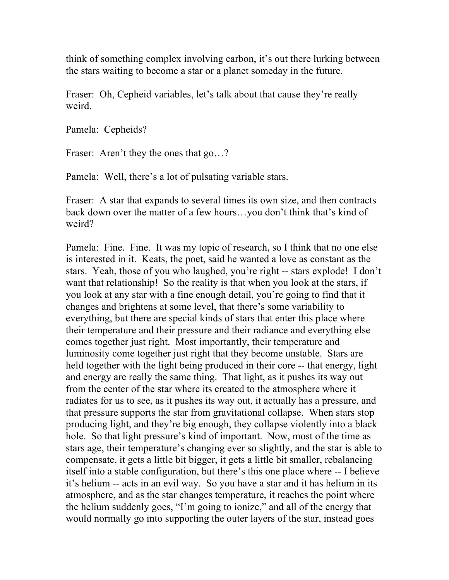think of something complex involving carbon, it's out there lurking between the stars waiting to become a star or a planet someday in the future.

Fraser: Oh, Cepheid variables, let's talk about that cause they're really weird.

Pamela: Cepheids?

Fraser: Aren't they the ones that go...?

Pamela: Well, there's a lot of pulsating variable stars.

Fraser: A star that expands to several times its own size, and then contracts back down over the matter of a few hours…you don't think that's kind of weird?

Pamela: Fine. Fine. It was my topic of research, so I think that no one else is interested in it. Keats, the poet, said he wanted a love as constant as the stars. Yeah, those of you who laughed, you're right -- stars explode! I don't want that relationship! So the reality is that when you look at the stars, if you look at any star with a fine enough detail, you're going to find that it changes and brightens at some level, that there's some variability to everything, but there are special kinds of stars that enter this place where their temperature and their pressure and their radiance and everything else comes together just right. Most importantly, their temperature and luminosity come together just right that they become unstable. Stars are held together with the light being produced in their core -- that energy, light and energy are really the same thing. That light, as it pushes its way out from the center of the star where its created to the atmosphere where it radiates for us to see, as it pushes its way out, it actually has a pressure, and that pressure supports the star from gravitational collapse. When stars stop producing light, and they're big enough, they collapse violently into a black hole. So that light pressure's kind of important. Now, most of the time as stars age, their temperature's changing ever so slightly, and the star is able to compensate, it gets a little bit bigger, it gets a little bit smaller, rebalancing itself into a stable configuration, but there's this one place where -- I believe it's helium -- acts in an evil way. So you have a star and it has helium in its atmosphere, and as the star changes temperature, it reaches the point where the helium suddenly goes, "I'm going to ionize," and all of the energy that would normally go into supporting the outer layers of the star, instead goes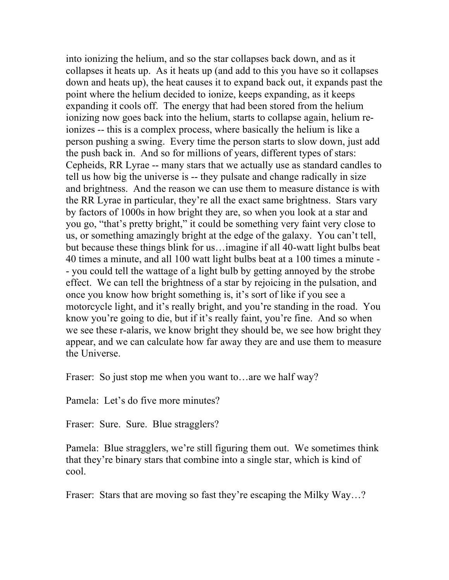into ionizing the helium, and so the star collapses back down, and as it collapses it heats up. As it heats up (and add to this you have so it collapses down and heats up), the heat causes it to expand back out, it expands past the point where the helium decided to ionize, keeps expanding, as it keeps expanding it cools off. The energy that had been stored from the helium ionizing now goes back into the helium, starts to collapse again, helium reionizes -- this is a complex process, where basically the helium is like a person pushing a swing. Every time the person starts to slow down, just add the push back in. And so for millions of years, different types of stars: Cepheids, RR Lyrae -- many stars that we actually use as standard candles to tell us how big the universe is -- they pulsate and change radically in size and brightness. And the reason we can use them to measure distance is with the RR Lyrae in particular, they're all the exact same brightness. Stars vary by factors of 1000s in how bright they are, so when you look at a star and you go, "that's pretty bright," it could be something very faint very close to us, or something amazingly bright at the edge of the galaxy. You can't tell, but because these things blink for us…imagine if all 40-watt light bulbs beat 40 times a minute, and all 100 watt light bulbs beat at a 100 times a minute - - you could tell the wattage of a light bulb by getting annoyed by the strobe effect. We can tell the brightness of a star by rejoicing in the pulsation, and once you know how bright something is, it's sort of like if you see a motorcycle light, and it's really bright, and you're standing in the road. You know you're going to die, but if it's really faint, you're fine. And so when we see these r-alaris, we know bright they should be, we see how bright they appear, and we can calculate how far away they are and use them to measure the Universe.

Fraser: So just stop me when you want to... are we half way?

Pamela: Let's do five more minutes?

Fraser: Sure. Sure. Blue stragglers?

Pamela: Blue stragglers, we're still figuring them out. We sometimes think that they're binary stars that combine into a single star, which is kind of cool.

Fraser: Stars that are moving so fast they're escaping the Milky Way...?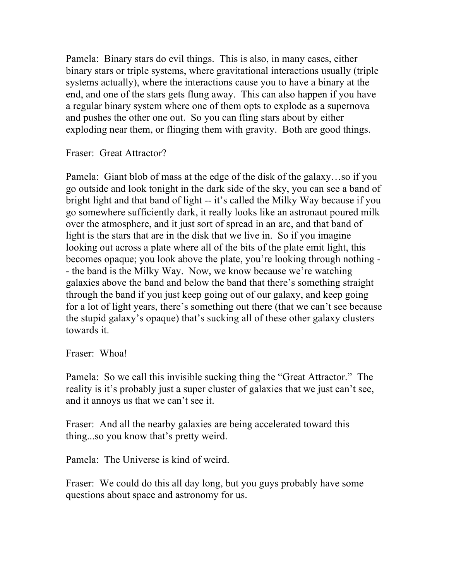Pamela: Binary stars do evil things. This is also, in many cases, either binary stars or triple systems, where gravitational interactions usually (triple systems actually), where the interactions cause you to have a binary at the end, and one of the stars gets flung away. This can also happen if you have a regular binary system where one of them opts to explode as a supernova and pushes the other one out. So you can fling stars about by either exploding near them, or flinging them with gravity. Both are good things.

Fraser: Great Attractor?

Pamela: Giant blob of mass at the edge of the disk of the galaxy…so if you go outside and look tonight in the dark side of the sky, you can see a band of bright light and that band of light -- it's called the Milky Way because if you go somewhere sufficiently dark, it really looks like an astronaut poured milk over the atmosphere, and it just sort of spread in an arc, and that band of light is the stars that are in the disk that we live in. So if you imagine looking out across a plate where all of the bits of the plate emit light, this becomes opaque; you look above the plate, you're looking through nothing - - the band is the Milky Way. Now, we know because we're watching galaxies above the band and below the band that there's something straight through the band if you just keep going out of our galaxy, and keep going for a lot of light years, there's something out there (that we can't see because the stupid galaxy's opaque) that's sucking all of these other galaxy clusters towards it.

Fraser: Whoa!

Pamela: So we call this invisible sucking thing the "Great Attractor." The reality is it's probably just a super cluster of galaxies that we just can't see, and it annoys us that we can't see it.

Fraser: And all the nearby galaxies are being accelerated toward this thing...so you know that's pretty weird.

Pamela: The Universe is kind of weird.

Fraser: We could do this all day long, but you guys probably have some questions about space and astronomy for us.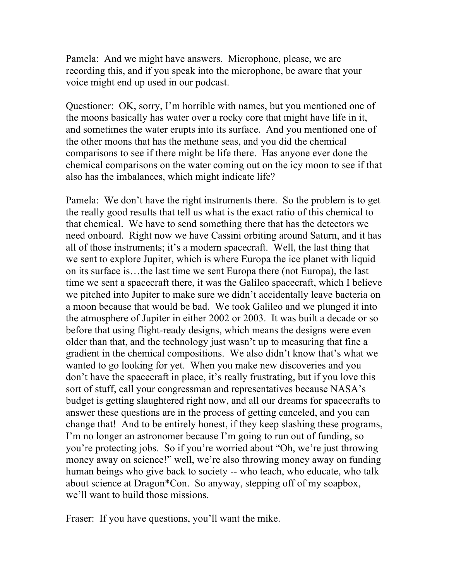Pamela: And we might have answers. Microphone, please, we are recording this, and if you speak into the microphone, be aware that your voice might end up used in our podcast.

Questioner: OK, sorry, I'm horrible with names, but you mentioned one of the moons basically has water over a rocky core that might have life in it, and sometimes the water erupts into its surface. And you mentioned one of the other moons that has the methane seas, and you did the chemical comparisons to see if there might be life there. Has anyone ever done the chemical comparisons on the water coming out on the icy moon to see if that also has the imbalances, which might indicate life?

Pamela: We don't have the right instruments there. So the problem is to get the really good results that tell us what is the exact ratio of this chemical to that chemical. We have to send something there that has the detectors we need onboard. Right now we have Cassini orbiting around Saturn, and it has all of those instruments; it's a modern spacecraft. Well, the last thing that we sent to explore Jupiter, which is where Europa the ice planet with liquid on its surface is…the last time we sent Europa there (not Europa), the last time we sent a spacecraft there, it was the Galileo spacecraft, which I believe we pitched into Jupiter to make sure we didn't accidentally leave bacteria on a moon because that would be bad. We took Galileo and we plunged it into the atmosphere of Jupiter in either 2002 or 2003. It was built a decade or so before that using flight-ready designs, which means the designs were even older than that, and the technology just wasn't up to measuring that fine a gradient in the chemical compositions. We also didn't know that's what we wanted to go looking for yet. When you make new discoveries and you don't have the spacecraft in place, it's really frustrating, but if you love this sort of stuff, call your congressman and representatives because NASA's budget is getting slaughtered right now, and all our dreams for spacecrafts to answer these questions are in the process of getting canceled, and you can change that! And to be entirely honest, if they keep slashing these programs, I'm no longer an astronomer because I'm going to run out of funding, so you're protecting jobs. So if you're worried about "Oh, we're just throwing money away on science!" well, we're also throwing money away on funding human beings who give back to society -- who teach, who educate, who talk about science at Dragon\*Con. So anyway, stepping off of my soapbox, we'll want to build those missions.

Fraser: If you have questions, you'll want the mike.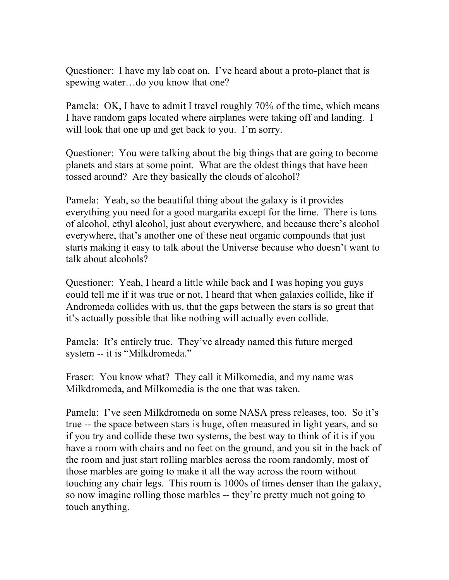Questioner: I have my lab coat on. I've heard about a proto-planet that is spewing water…do you know that one?

Pamela: OK, I have to admit I travel roughly 70% of the time, which means I have random gaps located where airplanes were taking off and landing. I will look that one up and get back to you. I'm sorry.

Questioner: You were talking about the big things that are going to become planets and stars at some point. What are the oldest things that have been tossed around? Are they basically the clouds of alcohol?

Pamela: Yeah, so the beautiful thing about the galaxy is it provides everything you need for a good margarita except for the lime. There is tons of alcohol, ethyl alcohol, just about everywhere, and because there's alcohol everywhere, that's another one of these neat organic compounds that just starts making it easy to talk about the Universe because who doesn't want to talk about alcohols?

Questioner: Yeah, I heard a little while back and I was hoping you guys could tell me if it was true or not, I heard that when galaxies collide, like if Andromeda collides with us, that the gaps between the stars is so great that it's actually possible that like nothing will actually even collide.

Pamela: It's entirely true. They've already named this future merged system -- it is "Milkdromeda."

Fraser: You know what? They call it Milkomedia, and my name was Milkdromeda, and Milkomedia is the one that was taken.

Pamela: I've seen Milkdromeda on some NASA press releases, too. So it's true -- the space between stars is huge, often measured in light years, and so if you try and collide these two systems, the best way to think of it is if you have a room with chairs and no feet on the ground, and you sit in the back of the room and just start rolling marbles across the room randomly, most of those marbles are going to make it all the way across the room without touching any chair legs. This room is 1000s of times denser than the galaxy, so now imagine rolling those marbles -- they're pretty much not going to touch anything.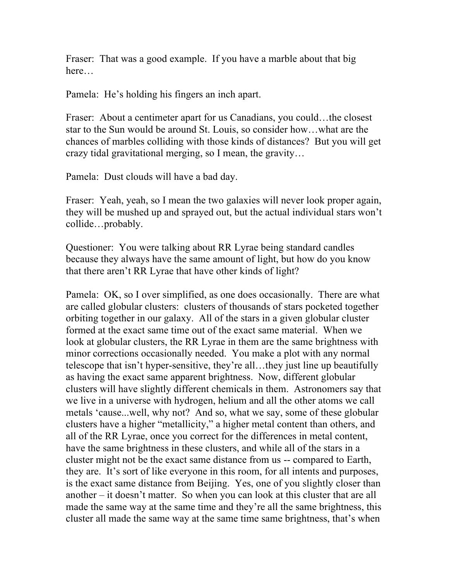Fraser: That was a good example. If you have a marble about that big here…

Pamela: He's holding his fingers an inch apart.

Fraser: About a centimeter apart for us Canadians, you could…the closest star to the Sun would be around St. Louis, so consider how…what are the chances of marbles colliding with those kinds of distances? But you will get crazy tidal gravitational merging, so I mean, the gravity…

Pamela: Dust clouds will have a bad day.

Fraser: Yeah, yeah, so I mean the two galaxies will never look proper again, they will be mushed up and sprayed out, but the actual individual stars won't collide…probably.

Questioner: You were talking about RR Lyrae being standard candles because they always have the same amount of light, but how do you know that there aren't RR Lyrae that have other kinds of light?

Pamela: OK, so I over simplified, as one does occasionally. There are what are called globular clusters: clusters of thousands of stars pocketed together orbiting together in our galaxy. All of the stars in a given globular cluster formed at the exact same time out of the exact same material. When we look at globular clusters, the RR Lyrae in them are the same brightness with minor corrections occasionally needed. You make a plot with any normal telescope that isn't hyper-sensitive, they're all…they just line up beautifully as having the exact same apparent brightness. Now, different globular clusters will have slightly different chemicals in them. Astronomers say that we live in a universe with hydrogen, helium and all the other atoms we call metals 'cause...well, why not? And so, what we say, some of these globular clusters have a higher "metallicity," a higher metal content than others, and all of the RR Lyrae, once you correct for the differences in metal content, have the same brightness in these clusters, and while all of the stars in a cluster might not be the exact same distance from us -- compared to Earth, they are. It's sort of like everyone in this room, for all intents and purposes, is the exact same distance from Beijing. Yes, one of you slightly closer than another – it doesn't matter. So when you can look at this cluster that are all made the same way at the same time and they're all the same brightness, this cluster all made the same way at the same time same brightness, that's when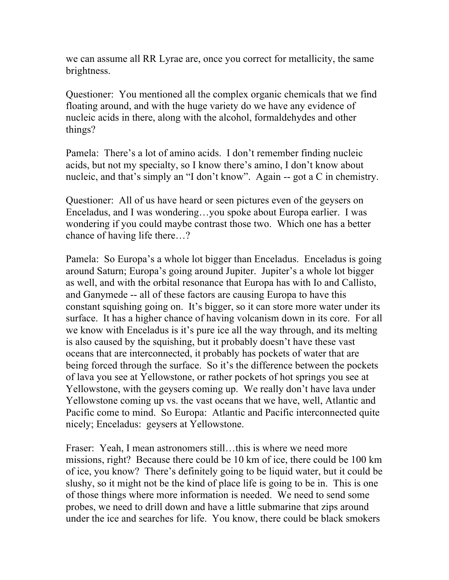we can assume all RR Lyrae are, once you correct for metallicity, the same brightness.

Questioner: You mentioned all the complex organic chemicals that we find floating around, and with the huge variety do we have any evidence of nucleic acids in there, along with the alcohol, formaldehydes and other things?

Pamela: There's a lot of amino acids. I don't remember finding nucleic acids, but not my specialty, so I know there's amino, I don't know about nucleic, and that's simply an "I don't know". Again -- got a C in chemistry.

Questioner: All of us have heard or seen pictures even of the geysers on Enceladus, and I was wondering…you spoke about Europa earlier. I was wondering if you could maybe contrast those two. Which one has a better chance of having life there…?

Pamela: So Europa's a whole lot bigger than Enceladus. Enceladus is going around Saturn; Europa's going around Jupiter. Jupiter's a whole lot bigger as well, and with the orbital resonance that Europa has with Io and Callisto, and Ganymede -- all of these factors are causing Europa to have this constant squishing going on. It's bigger, so it can store more water under its surface. It has a higher chance of having volcanism down in its core. For all we know with Enceladus is it's pure ice all the way through, and its melting is also caused by the squishing, but it probably doesn't have these vast oceans that are interconnected, it probably has pockets of water that are being forced through the surface. So it's the difference between the pockets of lava you see at Yellowstone, or rather pockets of hot springs you see at Yellowstone, with the geysers coming up. We really don't have lava under Yellowstone coming up vs. the vast oceans that we have, well, Atlantic and Pacific come to mind. So Europa: Atlantic and Pacific interconnected quite nicely; Enceladus: geysers at Yellowstone.

Fraser: Yeah, I mean astronomers still…this is where we need more missions, right? Because there could be 10 km of ice, there could be 100 km of ice, you know? There's definitely going to be liquid water, but it could be slushy, so it might not be the kind of place life is going to be in. This is one of those things where more information is needed. We need to send some probes, we need to drill down and have a little submarine that zips around under the ice and searches for life. You know, there could be black smokers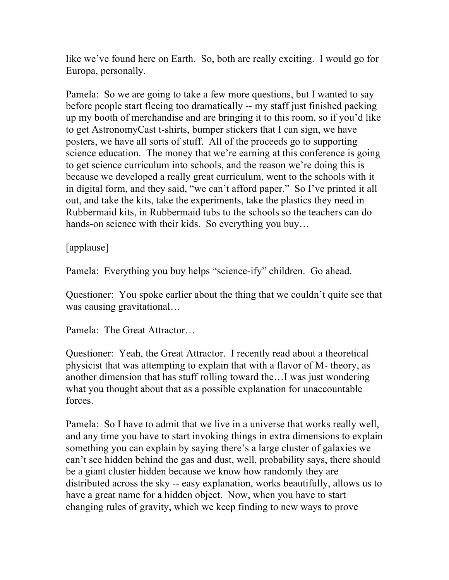like we've found here on Earth. So, both are really exciting. I would go for Europa, personally.

Pamela: So we are going to take a few more questions, but I wanted to say before people start fleeing too dramatically -- my staff just finished packing up my booth of merchandise and are bringing it to this room, so if you'd like to get AstronomyCast t-shirts, bumper stickers that I can sign, we have posters, we have all sorts of stuff. All of the proceeds go to supporting science education. The money that we're earning at this conference is going to get science curriculum into schools, and the reason we're doing this is because we developed a really great curriculum, went to the schools with it in digital form, and they said, "we can't afford paper." So I've printed it all out, and take the kits, take the experiments, take the plastics they need in Rubbermaid kits, in Rubbermaid tubs to the schools so the teachers can do hands-on science with their kids. So everything you buy...

[applause]

Pamela: Everything you buy helps "science-ify" children. Go ahead.

Questioner: You spoke earlier about the thing that we couldn't quite see that was causing gravitational…

Pamela: The Great Attractor…

Questioner: Yeah, the Great Attractor. I recently read about a theoretical physicist that was attempting to explain that with a flavor of M- theory, as another dimension that has stuff rolling toward the…I was just wondering what you thought about that as a possible explanation for unaccountable forces.

Pamela: So I have to admit that we live in a universe that works really well, and any time you have to start invoking things in extra dimensions to explain something you can explain by saying there's a large cluster of galaxies we can't see hidden behind the gas and dust, well, probability says, there should be a giant cluster hidden because we know how randomly they are distributed across the sky -- easy explanation, works beautifully, allows us to have a great name for a hidden object. Now, when you have to start changing rules of gravity, which we keep finding to new ways to prove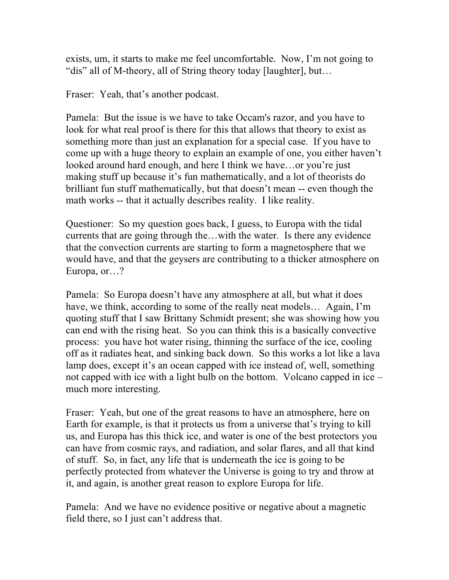exists, um, it starts to make me feel uncomfortable. Now, I'm not going to "dis" all of M-theory, all of String theory today [laughter], but…

Fraser: Yeah, that's another podcast.

Pamela: But the issue is we have to take Occam's razor, and you have to look for what real proof is there for this that allows that theory to exist as something more than just an explanation for a special case. If you have to come up with a huge theory to explain an example of one, you either haven't looked around hard enough, and here I think we have…or you're just making stuff up because it's fun mathematically, and a lot of theorists do brilliant fun stuff mathematically, but that doesn't mean -- even though the math works -- that it actually describes reality. I like reality.

Questioner: So my question goes back, I guess, to Europa with the tidal currents that are going through the…with the water. Is there any evidence that the convection currents are starting to form a magnetosphere that we would have, and that the geysers are contributing to a thicker atmosphere on Europa, or…?

Pamela: So Europa doesn't have any atmosphere at all, but what it does have, we think, according to some of the really neat models… Again, I'm quoting stuff that I saw Brittany Schmidt present; she was showing how you can end with the rising heat. So you can think this is a basically convective process: you have hot water rising, thinning the surface of the ice, cooling off as it radiates heat, and sinking back down. So this works a lot like a lava lamp does, except it's an ocean capped with ice instead of, well, something not capped with ice with a light bulb on the bottom. Volcano capped in ice – much more interesting.

Fraser: Yeah, but one of the great reasons to have an atmosphere, here on Earth for example, is that it protects us from a universe that's trying to kill us, and Europa has this thick ice, and water is one of the best protectors you can have from cosmic rays, and radiation, and solar flares, and all that kind of stuff. So, in fact, any life that is underneath the ice is going to be perfectly protected from whatever the Universe is going to try and throw at it, and again, is another great reason to explore Europa for life.

Pamela: And we have no evidence positive or negative about a magnetic field there, so I just can't address that.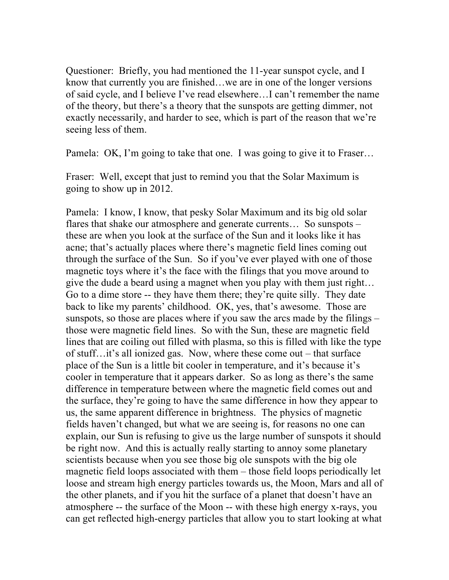Questioner: Briefly, you had mentioned the 11-year sunspot cycle, and I know that currently you are finished…we are in one of the longer versions of said cycle, and I believe I've read elsewhere…I can't remember the name of the theory, but there's a theory that the sunspots are getting dimmer, not exactly necessarily, and harder to see, which is part of the reason that we're seeing less of them.

Pamela: OK, I'm going to take that one. I was going to give it to Fraser...

Fraser: Well, except that just to remind you that the Solar Maximum is going to show up in 2012.

Pamela: I know, I know, that pesky Solar Maximum and its big old solar flares that shake our atmosphere and generate currents... So sunspots – these are when you look at the surface of the Sun and it looks like it has acne; that's actually places where there's magnetic field lines coming out through the surface of the Sun. So if you've ever played with one of those magnetic toys where it's the face with the filings that you move around to give the dude a beard using a magnet when you play with them just right… Go to a dime store -- they have them there; they're quite silly. They date back to like my parents' childhood. OK, yes, that's awesome. Those are sunspots, so those are places where if you saw the arcs made by the filings – those were magnetic field lines. So with the Sun, these are magnetic field lines that are coiling out filled with plasma, so this is filled with like the type of stuff…it's all ionized gas. Now, where these come out – that surface place of the Sun is a little bit cooler in temperature, and it's because it's cooler in temperature that it appears darker. So as long as there's the same difference in temperature between where the magnetic field comes out and the surface, they're going to have the same difference in how they appear to us, the same apparent difference in brightness. The physics of magnetic fields haven't changed, but what we are seeing is, for reasons no one can explain, our Sun is refusing to give us the large number of sunspots it should be right now. And this is actually really starting to annoy some planetary scientists because when you see those big ole sunspots with the big ole magnetic field loops associated with them – those field loops periodically let loose and stream high energy particles towards us, the Moon, Mars and all of the other planets, and if you hit the surface of a planet that doesn't have an atmosphere -- the surface of the Moon -- with these high energy x-rays, you can get reflected high-energy particles that allow you to start looking at what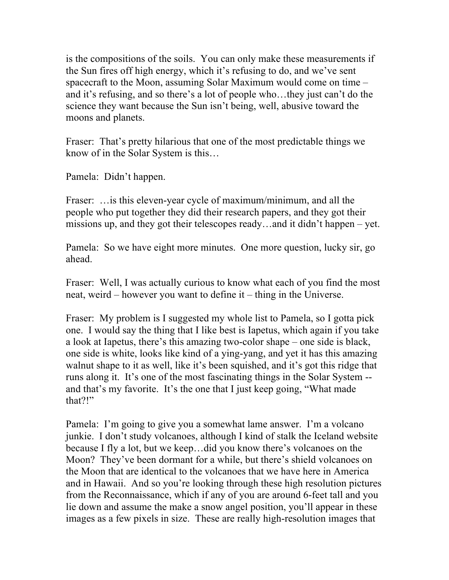is the compositions of the soils. You can only make these measurements if the Sun fires off high energy, which it's refusing to do, and we've sent spacecraft to the Moon, assuming Solar Maximum would come on time – and it's refusing, and so there's a lot of people who…they just can't do the science they want because the Sun isn't being, well, abusive toward the moons and planets.

Fraser: That's pretty hilarious that one of the most predictable things we know of in the Solar System is this…

Pamela: Didn't happen.

Fraser: …is this eleven-year cycle of maximum/minimum, and all the people who put together they did their research papers, and they got their missions up, and they got their telescopes ready…and it didn't happen – yet.

Pamela: So we have eight more minutes. One more question, lucky sir, go ahead.

Fraser: Well, I was actually curious to know what each of you find the most neat, weird – however you want to define it – thing in the Universe.

Fraser: My problem is I suggested my whole list to Pamela, so I gotta pick one. I would say the thing that I like best is Iapetus, which again if you take a look at Iapetus, there's this amazing two-color shape – one side is black, one side is white, looks like kind of a ying-yang, and yet it has this amazing walnut shape to it as well, like it's been squished, and it's got this ridge that runs along it. It's one of the most fascinating things in the Solar System - and that's my favorite. It's the one that I just keep going, "What made that?!"

Pamela: I'm going to give you a somewhat lame answer. I'm a volcano junkie. I don't study volcanoes, although I kind of stalk the Iceland website because I fly a lot, but we keep…did you know there's volcanoes on the Moon? They've been dormant for a while, but there's shield volcanoes on the Moon that are identical to the volcanoes that we have here in America and in Hawaii. And so you're looking through these high resolution pictures from the Reconnaissance, which if any of you are around 6-feet tall and you lie down and assume the make a snow angel position, you'll appear in these images as a few pixels in size. These are really high-resolution images that